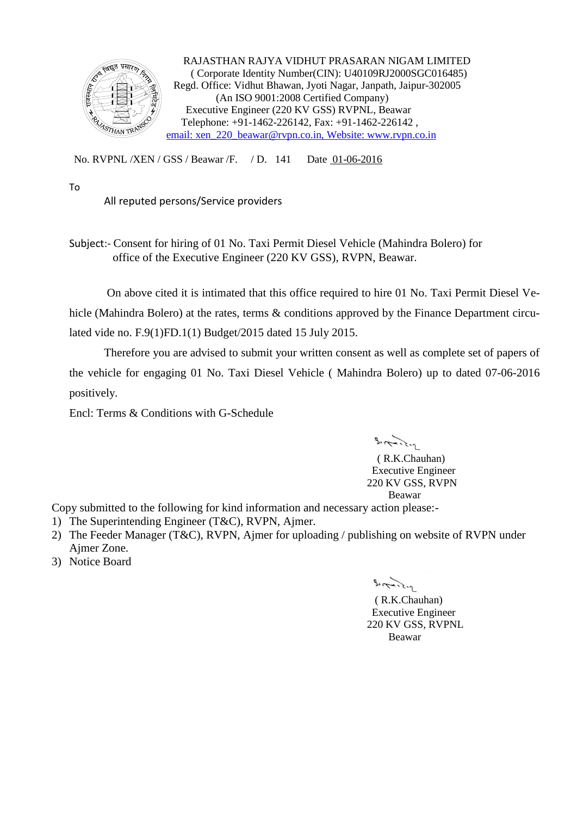

 RAJASTHAN RAJYA VIDHUT PRASARAN NIGAM LIMITED ( Corporate Identity Number(CIN): U40109RJ2000SGC016485) Regd. Office: Vidhut Bhawan, Jyoti Nagar, Janpath, Jaipur-302005 (An ISO 9001:2008 Certified Company) Executive Engineer (220 KV GSS) RVPNL, Beawar Telephone: +91-1462-226142, Fax: +91-1462-226142 , [email: xen\\_220\\_beawar@rvpn.co.in, Website: www.rvpn.co.in](mailto:xen_220_beawar@rvpn.co.in)

No. RVPNL /XEN / GSS / Beawar /F. / D. 141 Date 01-06-2016

To

All reputed persons/Service providers

Subject:- Consent for hiring of 01 No. Taxi Permit Diesel Vehicle (Mahindra Bolero) for office of the Executive Engineer (220 KV GSS), RVPN, Beawar.

On above cited it is intimated that this office required to hire 01 No. Taxi Permit Diesel Vehicle (Mahindra Bolero) at the rates, terms & conditions approved by the Finance Department circulated vide no. F.9(1)FD.1(1) Budget/2015 dated 15 July 2015.

Therefore you are advised to submit your written consent as well as complete set of papers of the vehicle for engaging 01 No. Taxi Diesel Vehicle ( Mahindra Bolero) up to dated 07-06-2016 positively.

Encl: Terms & Conditions with G-Schedule

 $3.77.2 - 1$ 

 ( R.K.Chauhan) Executive Engineer 220 KV GSS, RVPN Beawar

Copy submitted to the following for kind information and necessary action please:-

- 1) The Superintending Engineer (T&C), RVPN, Ajmer.
- 2) The Feeder Manager (T&C), RVPN, Ajmer for uploading / publishing on website of RVPN under Ajmer Zone.
- 3) Notice Board

 $3.17 - 2.2 - 1$ 

 ( R.K.Chauhan) Executive Engineer 220 KV GSS, RVPNL Beawar